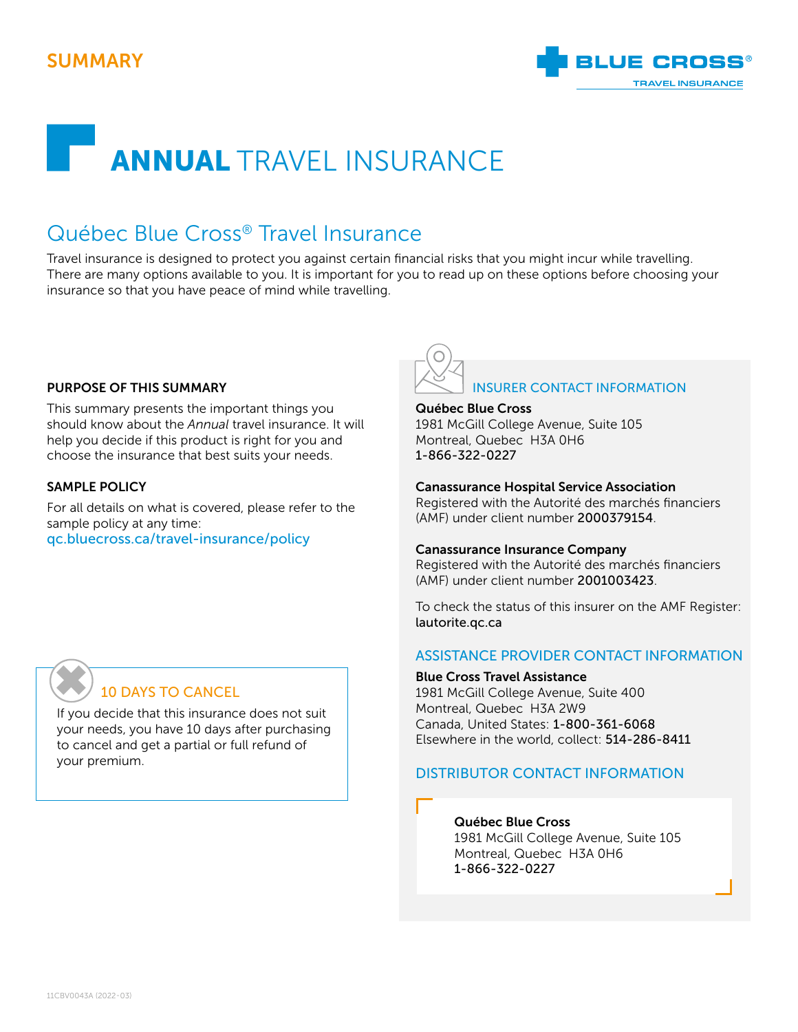## SUMMARY



# ANNUAL TRAVEL INSURANCE

# Québec Blue Cross® Travel Insurance

Travel insurance is designed to protect you against certain financial risks that you might incur while travelling. There are many options available to you. It is important for you to read up on these options before choosing your insurance so that you have peace of mind while travelling.

### PURPOSE OF THIS SUMMARY

This summary presents the important things you should know about the *Annual* travel insurance. It will help you decide if this product is right for you and choose the insurance that best suits your needs.

## SAMPLE POLICY

For all details on what is covered, please refer to the sample policy at any time: [qc.bluecross.ca/travel-insurance/policy](https://qc.bluecross.ca/travel-insurance/travel-insurance-101/sample-of-insurance-policies)



## Québec Blue Cross

1981 McGill College Avenue, Suite 105 Montreal, Quebec H3A 0H6 1-866-322-0227

#### Canassurance Hospital Service Association

Registered with the Autorité des marchés financiers (AMF) under client number 2000379154.

#### Canassurance Insurance Company

Registered with the Autorité des marchés financiers (AMF) under client number 2001003423.

To check the status of this insurer on the AMF Register: [lautorite.qc.ca](https://lautorite.qc.ca/en)

## ASSISTANCE PROVIDER CONTACT INFORMATION

#### Blue Cross Travel Assistance

1981 McGill College Avenue, Suite 400 Montreal, Quebec H3A 2W9 Canada, United States: 1-800-361-6068 Elsewhere in the world, collect: 514-286-8411

## DISTRIBUTOR CONTACT INFORMATION

## Québec Blue Cross

1981 McGill College Avenue, Suite 105 Montreal, Quebec H3A 0H6 1-866-322-0227

## 10 DAYS TO CANCEL ✖

If you decide that this insurance does not suit your needs, you have 10 days after purchasing to cancel and get a partial or full refund of your premium.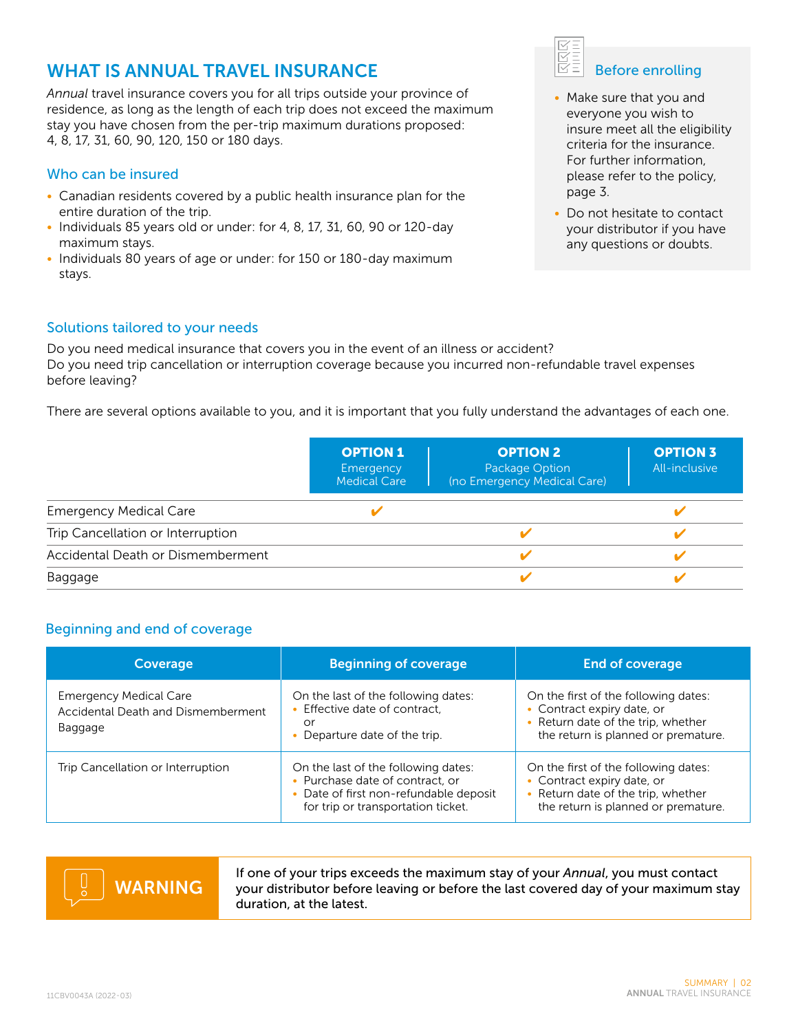## WHAT IS ANNUAL TRAVEL INSURANCE

*Annual* travel insurance covers you for all trips outside your province of residence, as long as the length of each trip does not exceed the maximum stay you have chosen from the per-trip maximum durations proposed: 4, 8, 17, 31, 60, 90, 120, 150 or 180 days.

## Who can be insured

- Canadian residents covered by a public health insurance plan for the entire duration of the trip.
- Individuals 85 years old or under: for 4, 8, 17, 31, 60, 90 or 120-day maximum stays.
- Individuals 80 years of age or under: for 150 or 180-day maximum stays.

## Solutions tailored to your needs

Do you need medical insurance that covers you in the event of an illness or accident? Do you need trip cancellation or interruption coverage because you incurred non-refundable travel expenses before leaving?

There are several options available to you, and it is important that you fully understand the advantages of each one.

|                                   | <b>OPTION 1</b><br>Emergency<br><b>Medical Care</b> | <b>OPTION 2</b><br>Package Option<br>(no Emergency Medical Care) | <b>OPTION 3</b><br>All-inclusive |
|-----------------------------------|-----------------------------------------------------|------------------------------------------------------------------|----------------------------------|
| <b>Emergency Medical Care</b>     |                                                     |                                                                  |                                  |
| Trip Cancellation or Interruption |                                                     |                                                                  |                                  |
| Accidental Death or Dismemberment |                                                     |                                                                  |                                  |
| Baggage                           |                                                     |                                                                  |                                  |

## Beginning and end of coverage

| Coverage                                                                       | <b>Beginning of coverage</b>                                                                                                                           | <b>End of coverage</b>                                                                                                                          |
|--------------------------------------------------------------------------------|--------------------------------------------------------------------------------------------------------------------------------------------------------|-------------------------------------------------------------------------------------------------------------------------------------------------|
| <b>Emergency Medical Care</b><br>Accidental Death and Dismemberment<br>Baggage | On the last of the following dates:<br>• Effective date of contract,<br>or<br>• Departure date of the trip.                                            | On the first of the following dates:<br>• Contract expiry date, or<br>• Return date of the trip, whether<br>the return is planned or premature. |
| Trip Cancellation or Interruption                                              | On the last of the following dates:<br>• Purchase date of contract, or<br>• Date of first non-refundable deposit<br>for trip or transportation ticket. | On the first of the following dates:<br>• Contract expiry date, or<br>• Return date of the trip, whether<br>the return is planned or premature. |



If one of your trips exceeds the maximum stay of your *Annual*, you must contact your distributor before leaving or before the last covered day of your maximum stay duration, at the latest.



- Make sure that you and everyone you wish to insure meet all the eligibility criteria for the insurance. For further information, please refer to the policy, page 3.
- Do not hesitate to contact your distributor if you have any questions or doubts.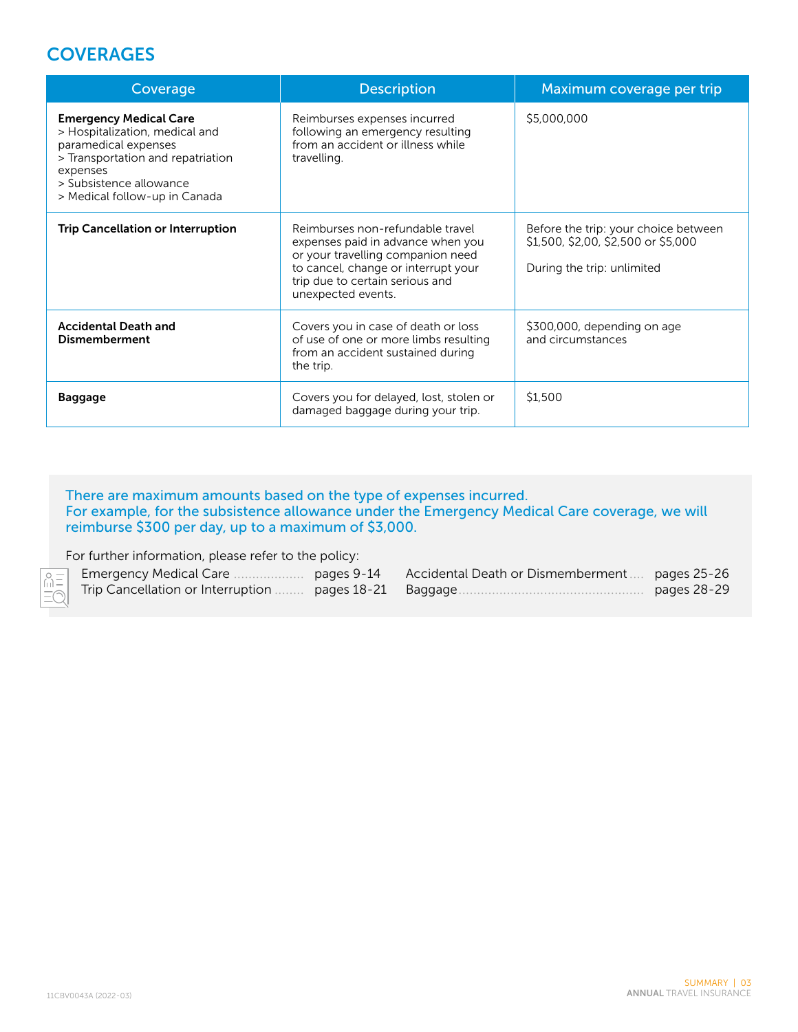## **COVERAGES**

| Coverage                                                                                                                                                                                             | <b>Description</b>                                                                                                                                                                                         | Maximum coverage per trip                                                                                 |
|------------------------------------------------------------------------------------------------------------------------------------------------------------------------------------------------------|------------------------------------------------------------------------------------------------------------------------------------------------------------------------------------------------------------|-----------------------------------------------------------------------------------------------------------|
| <b>Emergency Medical Care</b><br>> Hospitalization, medical and<br>paramedical expenses<br>> Transportation and repatriation<br>expenses<br>> Subsistence allowance<br>> Medical follow-up in Canada | Reimburses expenses incurred<br>following an emergency resulting<br>from an accident or illness while<br>travelling.                                                                                       | \$5,000,000                                                                                               |
| <b>Trip Cancellation or Interruption</b>                                                                                                                                                             | Reimburses non-refundable travel<br>expenses paid in advance when you<br>or your travelling companion need<br>to cancel, change or interrupt your<br>trip due to certain serious and<br>unexpected events. | Before the trip: your choice between<br>\$1,500, \$2,00, \$2,500 or \$5,000<br>During the trip: unlimited |
| <b>Accidental Death and</b><br><b>Dismemberment</b>                                                                                                                                                  | Covers you in case of death or loss<br>of use of one or more limbs resulting<br>from an accident sustained during<br>the trip.                                                                             | \$300,000, depending on age<br>and circumstances                                                          |
| <b>Baggage</b>                                                                                                                                                                                       | Covers you for delayed, lost, stolen or<br>damaged baggage during your trip.                                                                                                                               | \$1,500                                                                                                   |

## There are maximum amounts based on the type of expenses incurred. For example, for the subsistence allowance under the Emergency Medical Care coverage, we will reimburse \$300 per day, up to a maximum of \$3,000.

For further information, please refer to the policy:

| <b>SOLUTE</b> Emergency Medical Care | pages 9-14 Accidental Death or Dismemberment  pages 25-26 |             |
|--------------------------------------|-----------------------------------------------------------|-------------|
|                                      |                                                           | pages 28-29 |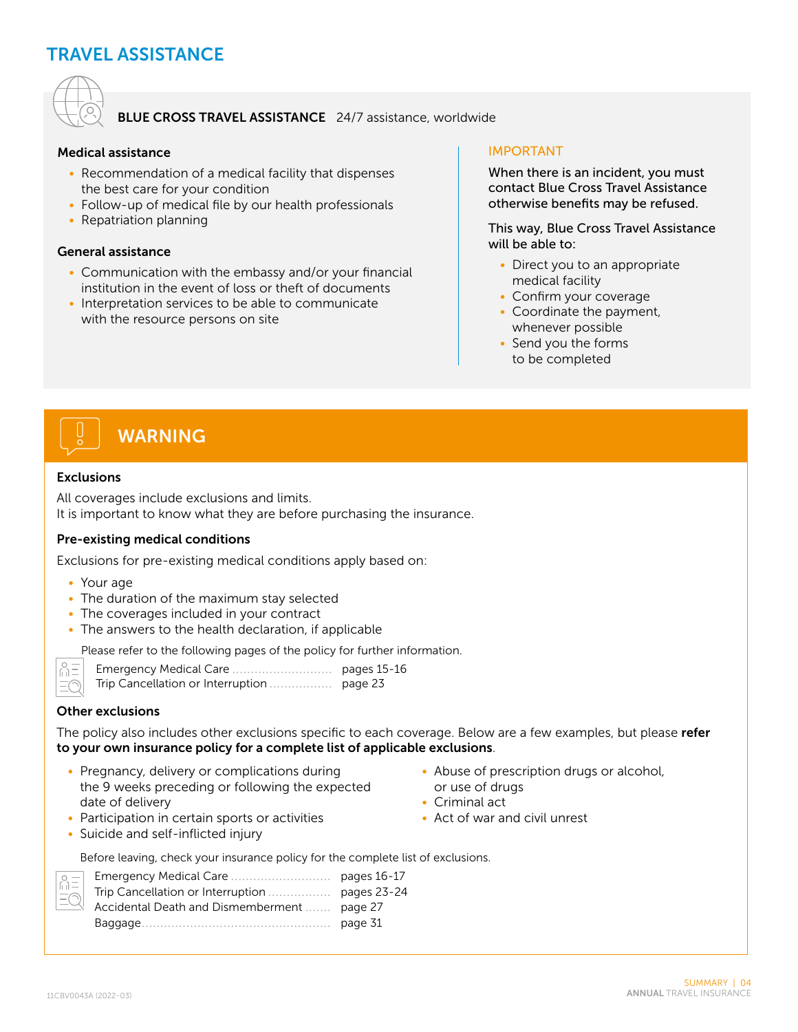## TRAVEL ASSISTANCE



## BLUE CROSS TRAVEL ASSISTANCE 24/7 assistance, worldwide

#### Medical assistance

- Recommendation of a medical facility that dispenses the best care for your condition
- Follow-up of medical file by our health professionals
- Repatriation planning

#### General assistance

- Communication with the embassy and/or your financial institution in the event of loss or theft of documents
- Interpretation services to be able to communicate with the resource persons on site

## IMPORTANT

When there is an incident, you must contact Blue Cross Travel Assistance otherwise benefits may be refused.

This way, Blue Cross Travel Assistance will be able to:

- Direct you to an appropriate medical facility
- Confirm your coverage
- Coordinate the payment, whenever possible
- Send you the forms to be completed

# WARNING

#### Exclusions

All coverages include exclusions and limits. It is important to know what they are before purchasing the insurance.

### Pre-existing medical conditions

Exclusions for pre-existing medical conditions apply based on:

- Your age
- The duration of the maximum stay selected
- The coverages included in your contract
- The answers to the health declaration, if applicable

Please refer to the following pages of the policy for further information.

 $\sqrt{2}$  $\equiv$ 

### Other exclusions

The policy also includes other exclusions specific to each coverage. Below are a few examples, but please refer to your own insurance policy for a complete list of applicable exclusions.

• Pregnancy, delivery or complications during the 9 weeks preceding or following the expected date of delivery

• Participation in certain sports or activities

- Abuse of prescription drugs or alcohol, or use of drugs
- Criminal act
- Act of war and civil unrest

- Suicide and self-inflicted injury
	- Before leaving, check your insurance policy for the complete list of exclusions.

| $\mathbb{R}$ Accidental Death and Dismemberment  page 27 |  |
|----------------------------------------------------------|--|
|                                                          |  |